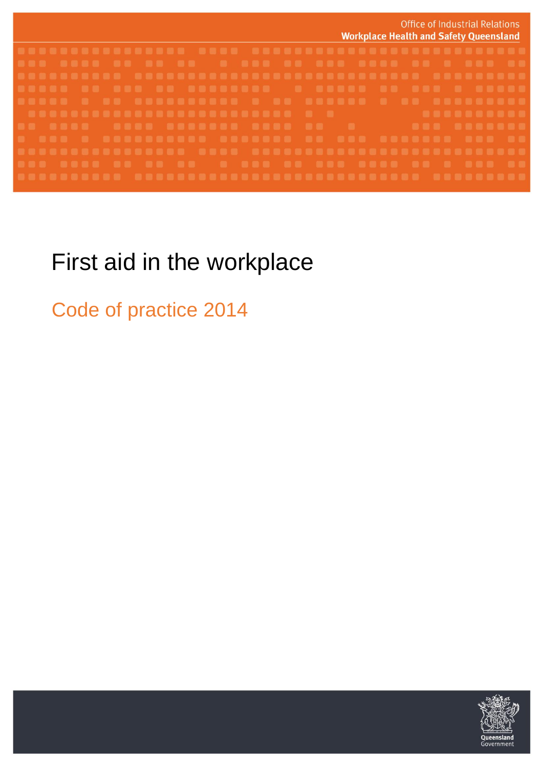

# First aid in the workplace

Code of practice 2014

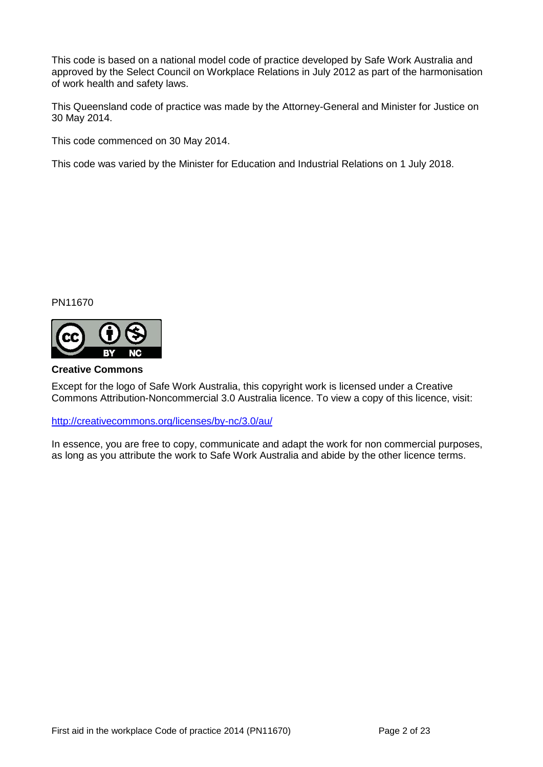This code is based on a national model code of practice developed by Safe Work Australia and approved by the Select Council on Workplace Relations in July 2012 as part of the harmonisation of work health and safety laws.

This Queensland code of practice was made by the Attorney-General and Minister for Justice on 30 May 2014.

This code commenced on 30 May 2014.

This code was varied by the Minister for Education and Industrial Relations on 1 July 2018.

PN11670



#### **Creative Commons**

Except for the logo of Safe Work Australia, this copyright work is licensed under a Creative Commons Attribution-Noncommercial 3.0 Australia licence. To view a copy of this licence, visit:

<http://creativecommons.org/licenses/by-nc/3.0/au/>

In essence, you are free to copy, communicate and adapt the work for non commercial purposes, as long as you attribute the work to Safe Work Australia and abide by the other licence terms.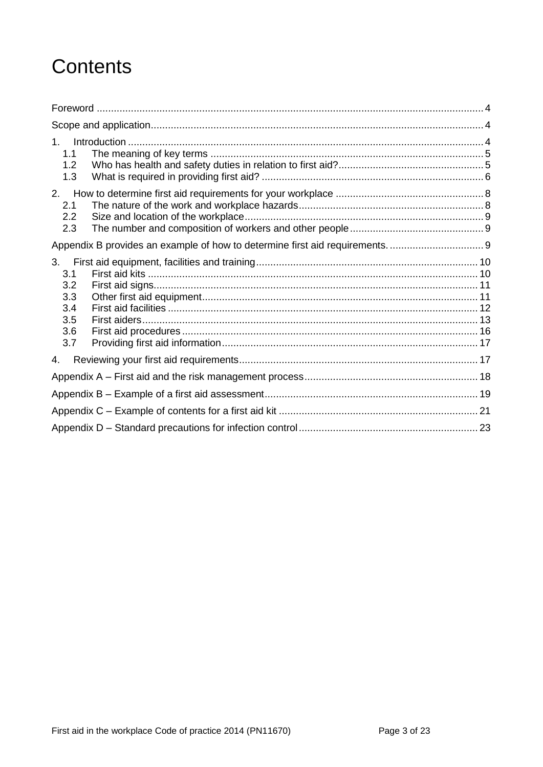# **Contents**

| 1 <sup>1</sup><br>1.1<br>1.2<br>1.3                 |  |  |  |  |
|-----------------------------------------------------|--|--|--|--|
| 2.<br>2.1<br>2.2<br>2.3                             |  |  |  |  |
|                                                     |  |  |  |  |
| 3.<br>3.1<br>3.2<br>3.3<br>3.4<br>3.5<br>3.6<br>3.7 |  |  |  |  |
| 4.                                                  |  |  |  |  |
|                                                     |  |  |  |  |
|                                                     |  |  |  |  |
|                                                     |  |  |  |  |
|                                                     |  |  |  |  |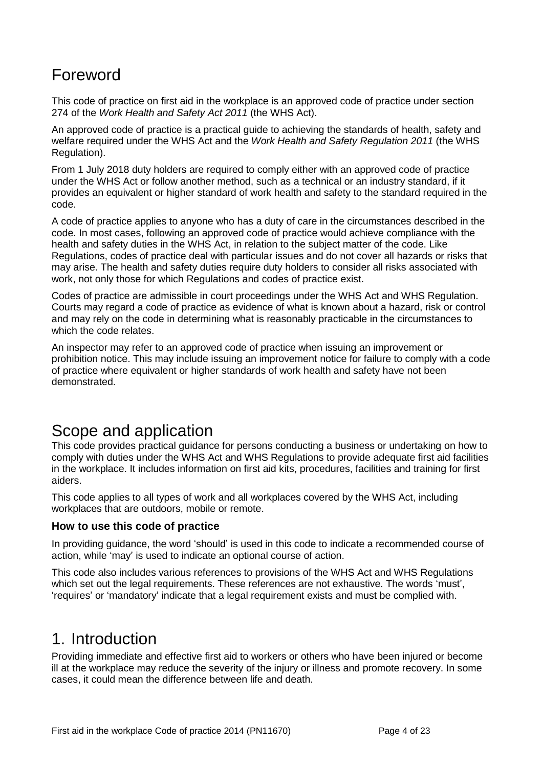## <span id="page-3-0"></span>Foreword

This code of practice on first aid in the workplace is an approved code of practice under section 274 of the *Work Health and Safety Act 2011* (the WHS Act).

An approved code of practice is a practical guide to achieving the standards of health, safety and welfare required under the WHS Act and the *Work Health and Safety Regulation 2011* (the WHS Regulation).

From 1 July 2018 duty holders are required to comply either with an approved code of practice under the WHS Act or follow another method, such as a technical or an industry standard, if it provides an equivalent or higher standard of work health and safety to the standard required in the code.

A code of practice applies to anyone who has a duty of care in the circumstances described in the code. In most cases, following an approved code of practice would achieve compliance with the health and safety duties in the WHS Act, in relation to the subject matter of the code. Like Regulations, codes of practice deal with particular issues and do not cover all hazards or risks that may arise. The health and safety duties require duty holders to consider all risks associated with work, not only those for which Regulations and codes of practice exist.

Codes of practice are admissible in court proceedings under the WHS Act and WHS Regulation. Courts may regard a code of practice as evidence of what is known about a hazard, risk or control and may rely on the code in determining what is reasonably practicable in the circumstances to which the code relates.

An inspector may refer to an approved code of practice when issuing an improvement or prohibition notice. This may include issuing an improvement notice for failure to comply with a code of practice where equivalent or higher standards of work health and safety have not been demonstrated.

## <span id="page-3-1"></span>Scope and application

This code provides practical guidance for persons conducting a business or undertaking on how to comply with duties under the WHS Act and WHS Regulations to provide adequate first aid facilities in the workplace. It includes information on first aid kits, procedures, facilities and training for first aiders.

This code applies to all types of work and all workplaces covered by the WHS Act, including workplaces that are outdoors, mobile or remote.

#### **How to use this code of practice**

In providing guidance, the word 'should' is used in this code to indicate a recommended course of action, while 'may' is used to indicate an optional course of action.

This code also includes various references to provisions of the WHS Act and WHS Regulations which set out the legal requirements. These references are not exhaustive. The words 'must', 'requires' or 'mandatory' indicate that a legal requirement exists and must be complied with.

## <span id="page-3-2"></span>1. Introduction

Providing immediate and effective first aid to workers or others who have been injured or become ill at the workplace may reduce the severity of the injury or illness and promote recovery. In some cases, it could mean the difference between life and death.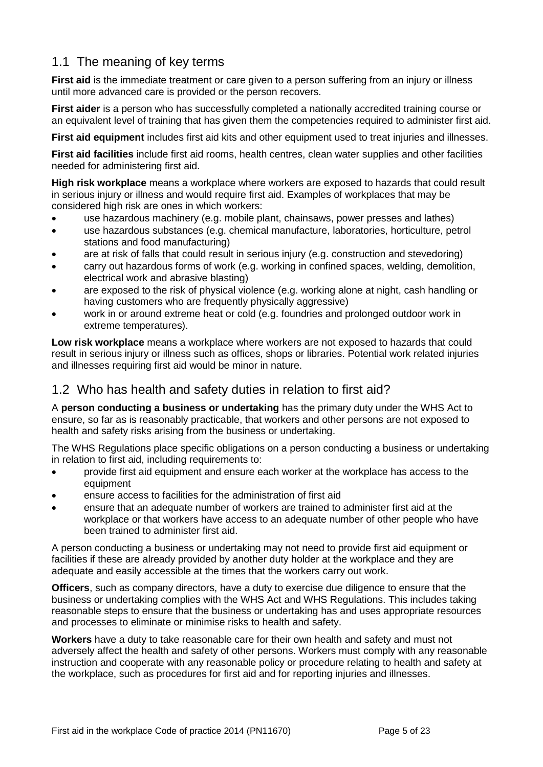### <span id="page-4-0"></span>1.1 The meaning of key terms

**First aid** is the immediate treatment or care given to a person suffering from an injury or illness until more advanced care is provided or the person recovers.

**First aider** is a person who has successfully completed a nationally accredited training course or an equivalent level of training that has given them the competencies required to administer first aid.

**First aid equipment** includes first aid kits and other equipment used to treat injuries and illnesses.

**First aid facilities** include first aid rooms, health centres, clean water supplies and other facilities needed for administering first aid.

**High risk workplace** means a workplace where workers are exposed to hazards that could result in serious injury or illness and would require first aid. Examples of workplaces that may be considered high risk are ones in which workers:

- use hazardous machinery (e.g. mobile plant, chainsaws, power presses and lathes)
- use hazardous substances (e.g. chemical manufacture, laboratories, horticulture, petrol stations and food manufacturing)
- are at risk of falls that could result in serious injury (e.g. construction and stevedoring)
- carry out hazardous forms of work (e.g. working in confined spaces, welding, demolition, electrical work and abrasive blasting)
- are exposed to the risk of physical violence (e.g. working alone at night, cash handling or having customers who are frequently physically aggressive)
- work in or around extreme heat or cold (e.g. foundries and prolonged outdoor work in extreme temperatures).

**Low risk workplace** means a workplace where workers are not exposed to hazards that could result in serious injury or illness such as offices, shops or libraries. Potential work related injuries and illnesses requiring first aid would be minor in nature.

### <span id="page-4-1"></span>1.2 Who has health and safety duties in relation to first aid?

A **person conducting a business or undertaking** has the primary duty under the WHS Act to ensure, so far as is reasonably practicable, that workers and other persons are not exposed to health and safety risks arising from the business or undertaking.

The WHS Regulations place specific obligations on a person conducting a business or undertaking in relation to first aid, including requirements to:

- provide first aid equipment and ensure each worker at the workplace has access to the equipment
- ensure access to facilities for the administration of first aid
- ensure that an adequate number of workers are trained to administer first aid at the workplace or that workers have access to an adequate number of other people who have been trained to administer first aid.

A person conducting a business or undertaking may not need to provide first aid equipment or facilities if these are already provided by another duty holder at the workplace and they are adequate and easily accessible at the times that the workers carry out work.

**Officers**, such as company directors, have a duty to exercise due diligence to ensure that the business or undertaking complies with the WHS Act and WHS Regulations. This includes taking reasonable steps to ensure that the business or undertaking has and uses appropriate resources and processes to eliminate or minimise risks to health and safety.

**Workers** have a duty to take reasonable care for their own health and safety and must not adversely affect the health and safety of other persons. Workers must comply with any reasonable instruction and cooperate with any reasonable policy or procedure relating to health and safety at the workplace, such as procedures for first aid and for reporting injuries and illnesses.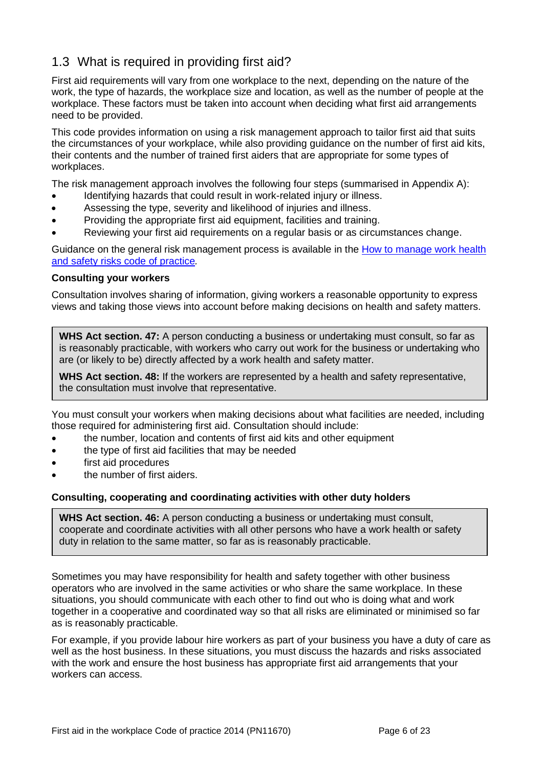### <span id="page-5-0"></span>1.3 What is required in providing first aid?

First aid requirements will vary from one workplace to the next, depending on the nature of the work, the type of hazards, the workplace size and location, as well as the number of people at the workplace. These factors must be taken into account when deciding what first aid arrangements need to be provided.

This code provides information on using a risk management approach to tailor first aid that suits the circumstances of your workplace, while also providing guidance on the number of first aid kits, their contents and the number of trained first aiders that are appropriate for some types of workplaces.

The risk management approach involves the following four steps (summarised in Appendix A):

- Identifying hazards that could result in work-related injury or illness.
- Assessing the type, severity and likelihood of injuries and illness.
- Providing the appropriate first aid equipment, facilities and training.
- Reviewing your first aid requirements on a regular basis or as circumstances change.

Guidance on the general risk management process is available in the [How to manage work health](https://www.worksafe.qld.gov.au/__data/assets/pdf_file/0003/58170/Manage-WHS-risks-COP-2011.pdf)  [and safety risks code of practice](https://www.worksafe.qld.gov.au/__data/assets/pdf_file/0003/58170/Manage-WHS-risks-COP-2011.pdf)*.*

#### **Consulting your workers**

Consultation involves sharing of information, giving workers a reasonable opportunity to express views and taking those views into account before making decisions on health and safety matters.

**WHS Act section. 47:** A person conducting a business or undertaking must consult, so far as is reasonably practicable, with workers who carry out work for the business or undertaking who are (or likely to be) directly affected by a work health and safety matter.

**WHS Act section. 48:** If the workers are represented by a health and safety representative, the consultation must involve that representative.

You must consult your workers when making decisions about what facilities are needed, including those required for administering first aid. Consultation should include:

- the number, location and contents of first aid kits and other equipment
- the type of first aid facilities that may be needed
- first aid procedures
- the number of first aiders.

#### **Consulting, cooperating and coordinating activities with other duty holders**

**WHS Act section. 46:** A person conducting a business or undertaking must consult, cooperate and coordinate activities with all other persons who have a work health or safety duty in relation to the same matter, so far as is reasonably practicable.

Sometimes you may have responsibility for health and safety together with other business operators who are involved in the same activities or who share the same workplace. In these situations, you should communicate with each other to find out who is doing what and work together in a cooperative and coordinated way so that all risks are eliminated or minimised so far as is reasonably practicable.

For example, if you provide labour hire workers as part of your business you have a duty of care as well as the host business. In these situations, you must discuss the hazards and risks associated with the work and ensure the host business has appropriate first aid arrangements that your workers can access.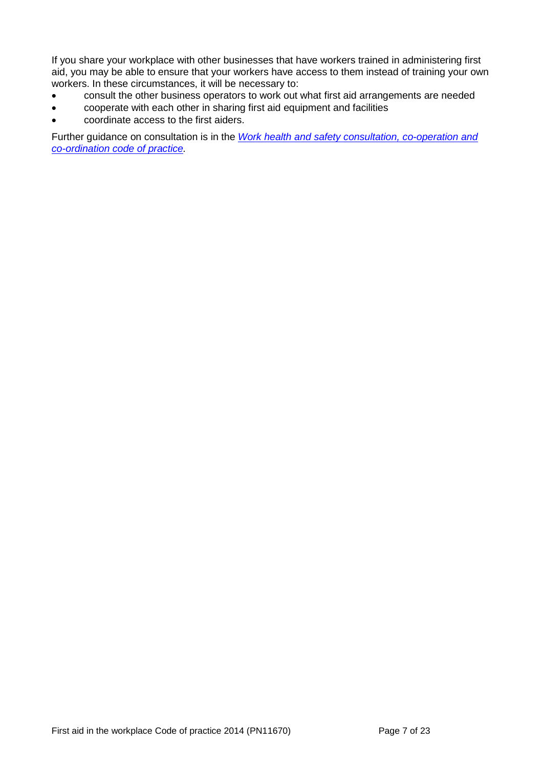If you share your workplace with other businesses that have workers trained in administering first aid, you may be able to ensure that your workers have access to them instead of training your own workers. In these circumstances, it will be necessary to:

- consult the other business operators to work out what first aid arrangements are needed
- cooperate with each other in sharing first aid equipment and facilities
- coordinate access to the first aiders.

Further guidance on consultation is in the *[Work health and safety consultation, co-operation and](https://www.worksafe.qld.gov.au/__data/assets/pdf_file/0020/58205/WHS-consultation-coop-coord-COP-2011.pdf)  co-ordination [code of practice.](https://www.worksafe.qld.gov.au/__data/assets/pdf_file/0020/58205/WHS-consultation-coop-coord-COP-2011.pdf)*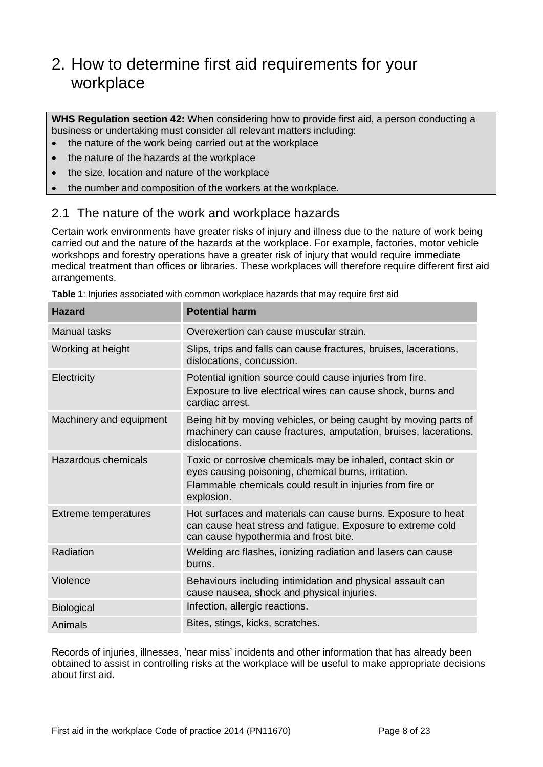## <span id="page-7-0"></span>2. How to determine first aid requirements for your workplace

**WHS Regulation section 42:** When considering how to provide first aid, a person conducting a business or undertaking must consider all relevant matters including:

- the nature of the work being carried out at the workplace
- the nature of the hazards at the workplace
- the size, location and nature of the workplace
- the number and composition of the workers at the workplace.

### <span id="page-7-1"></span>2.1 The nature of the work and workplace hazards

Certain work environments have greater risks of injury and illness due to the nature of work being carried out and the nature of the hazards at the workplace. For example, factories, motor vehicle workshops and forestry operations have a greater risk of injury that would require immediate medical treatment than offices or libraries. These workplaces will therefore require different first aid arrangements.

| <b>Hazard</b>               | <b>Potential harm</b>                                                                                                                                                                          |
|-----------------------------|------------------------------------------------------------------------------------------------------------------------------------------------------------------------------------------------|
| <b>Manual tasks</b>         | Overexertion can cause muscular strain.                                                                                                                                                        |
| Working at height           | Slips, trips and falls can cause fractures, bruises, lacerations,<br>dislocations, concussion.                                                                                                 |
| Electricity                 | Potential ignition source could cause injuries from fire.<br>Exposure to live electrical wires can cause shock, burns and<br>cardiac arrest.                                                   |
| Machinery and equipment     | Being hit by moving vehicles, or being caught by moving parts of<br>machinery can cause fractures, amputation, bruises, lacerations,<br>dislocations.                                          |
| <b>Hazardous chemicals</b>  | Toxic or corrosive chemicals may be inhaled, contact skin or<br>eyes causing poisoning, chemical burns, irritation.<br>Flammable chemicals could result in injuries from fire or<br>explosion. |
| <b>Extreme temperatures</b> | Hot surfaces and materials can cause burns. Exposure to heat<br>can cause heat stress and fatigue. Exposure to extreme cold<br>can cause hypothermia and frost bite.                           |
| Radiation                   | Welding arc flashes, ionizing radiation and lasers can cause<br>burns.                                                                                                                         |
| Violence                    | Behaviours including intimidation and physical assault can<br>cause nausea, shock and physical injuries.                                                                                       |
| Biological                  | Infection, allergic reactions.                                                                                                                                                                 |
| Animals                     | Bites, stings, kicks, scratches.                                                                                                                                                               |

**Table 1**: Injuries associated with common workplace hazards that may require first aid

Records of injuries, illnesses, 'near miss' incidents and other information that has already been obtained to assist in controlling risks at the workplace will be useful to make appropriate decisions about first aid.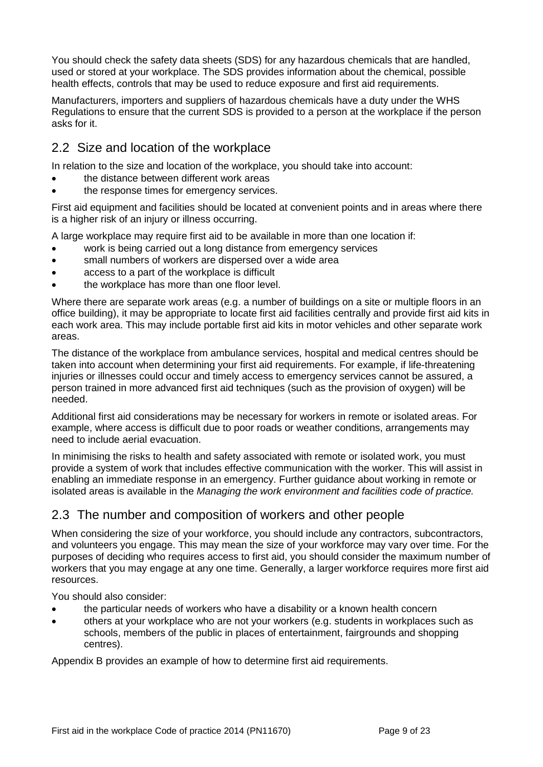You should check the safety data sheets (SDS) for any hazardous chemicals that are handled, used or stored at your workplace. The SDS provides information about the chemical, possible health effects, controls that may be used to reduce exposure and first aid requirements.

Manufacturers, importers and suppliers of hazardous chemicals have a duty under the WHS Regulations to ensure that the current SDS is provided to a person at the workplace if the person asks for it.

### <span id="page-8-0"></span>2.2 Size and location of the workplace

In relation to the size and location of the workplace, you should take into account:

- the distance between different work areas
- the response times for emergency services.

First aid equipment and facilities should be located at convenient points and in areas where there is a higher risk of an injury or illness occurring.

A large workplace may require first aid to be available in more than one location if:

- work is being carried out a long distance from emergency services
- small numbers of workers are dispersed over a wide area
- access to a part of the workplace is difficult
- the workplace has more than one floor level.

Where there are separate work areas (e.g. a number of buildings on a site or multiple floors in an office building), it may be appropriate to locate first aid facilities centrally and provide first aid kits in each work area. This may include portable first aid kits in motor vehicles and other separate work areas.

The distance of the workplace from ambulance services, hospital and medical centres should be taken into account when determining your first aid requirements. For example, if life-threatening injuries or illnesses could occur and timely access to emergency services cannot be assured, a person trained in more advanced first aid techniques (such as the provision of oxygen) will be needed.

Additional first aid considerations may be necessary for workers in remote or isolated areas. For example, where access is difficult due to poor roads or weather conditions, arrangements may need to include aerial evacuation.

In minimising the risks to health and safety associated with remote or isolated work, you must provide a system of work that includes effective communication with the worker. This will assist in enabling an immediate response in an emergency. Further guidance about working in remote or isolated areas is available in the *Managing the work environment and facilities code of practice.*

## <span id="page-8-1"></span>2.3 The number and composition of workers and other people

When considering the size of your workforce, you should include any contractors, subcontractors, and volunteers you engage. This may mean the size of your workforce may vary over time. For the purposes of deciding who requires access to first aid, you should consider the maximum number of workers that you may engage at any one time. Generally, a larger workforce requires more first aid resources.

You should also consider:

- the particular needs of workers who have a disability or a known health concern
- others at your workplace who are not your workers (e.g. students in workplaces such as schools, members of the public in places of entertainment, fairgrounds and shopping centres).

<span id="page-8-2"></span>Appendix B provides an example of how to determine first aid requirements.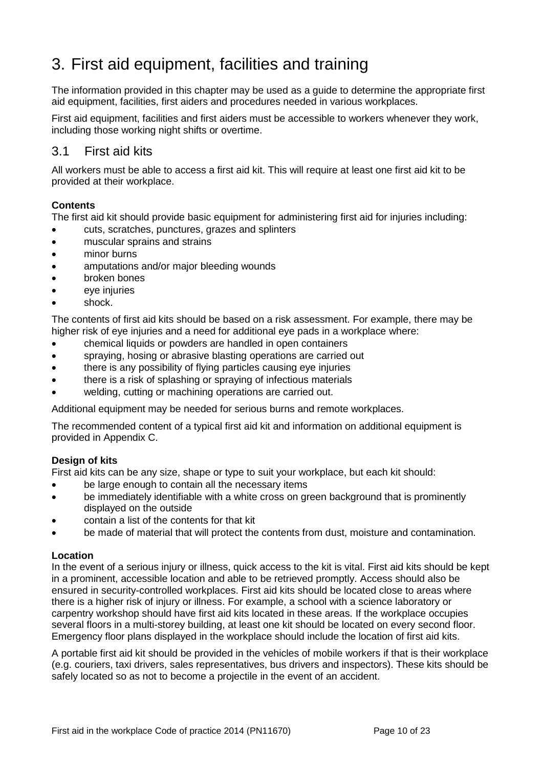## <span id="page-9-0"></span>3. First aid equipment, facilities and training

The information provided in this chapter may be used as a guide to determine the appropriate first aid equipment, facilities, first aiders and procedures needed in various workplaces.

First aid equipment, facilities and first aiders must be accessible to workers whenever they work, including those working night shifts or overtime.

### <span id="page-9-1"></span>3.1 First aid kits

All workers must be able to access a first aid kit. This will require at least one first aid kit to be provided at their workplace.

#### **Contents**

The first aid kit should provide basic equipment for administering first aid for injuries including:

- cuts, scratches, punctures, grazes and splinters
- muscular sprains and strains
- minor burns
- amputations and/or major bleeding wounds
- broken bones
- eve injuries
- shock.

The contents of first aid kits should be based on a risk assessment. For example, there may be higher risk of eye injuries and a need for additional eye pads in a workplace where:

- chemical liquids or powders are handled in open containers
- spraying, hosing or abrasive blasting operations are carried out
- there is any possibility of flying particles causing eye injuries
- there is a risk of splashing or spraying of infectious materials
- welding, cutting or machining operations are carried out.

Additional equipment may be needed for serious burns and remote workplaces.

The recommended content of a typical first aid kit and information on additional equipment is provided in Appendix C.

#### **Design of kits**

First aid kits can be any size, shape or type to suit your workplace, but each kit should:

- be large enough to contain all the necessary items
- be immediately identifiable with a white cross on green background that is prominently displayed on the outside
- contain a list of the contents for that kit
- be made of material that will protect the contents from dust, moisture and contamination.

#### **Location**

In the event of a serious injury or illness, quick access to the kit is vital. First aid kits should be kept in a prominent, accessible location and able to be retrieved promptly. Access should also be ensured in security-controlled workplaces. First aid kits should be located close to areas where there is a higher risk of injury or illness. For example, a school with a science laboratory or carpentry workshop should have first aid kits located in these areas. If the workplace occupies several floors in a multi-storey building, at least one kit should be located on every second floor. Emergency floor plans displayed in the workplace should include the location of first aid kits.

A portable first aid kit should be provided in the vehicles of mobile workers if that is their workplace (e.g. couriers, taxi drivers, sales representatives, bus drivers and inspectors). These kits should be safely located so as not to become a projectile in the event of an accident.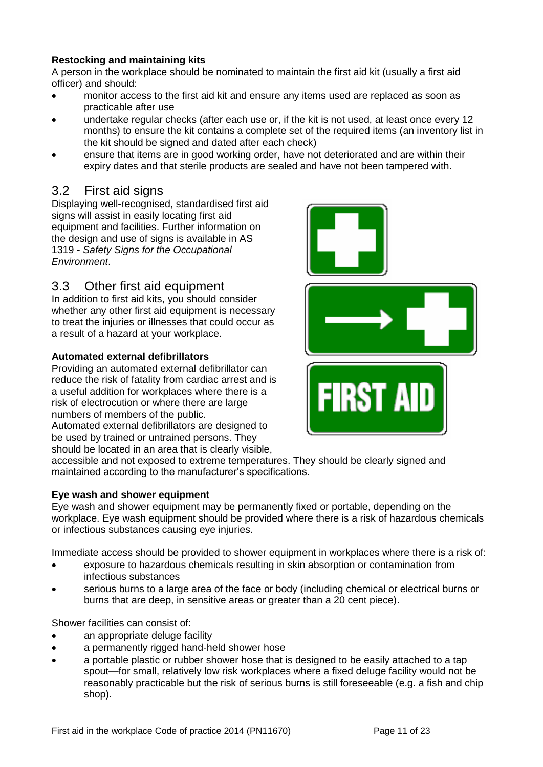#### **Restocking and maintaining kits**

A person in the workplace should be nominated to maintain the first aid kit (usually a first aid officer) and should:

- monitor access to the first aid kit and ensure any items used are replaced as soon as practicable after use
- undertake regular checks (after each use or, if the kit is not used, at least once every 12 months) to ensure the kit contains a complete set of the required items (an inventory list in the kit should be signed and dated after each check)
- ensure that items are in good working order, have not deteriorated and are within their expiry dates and that sterile products are sealed and have not been tampered with.

### <span id="page-10-0"></span>3.2 First aid signs

Displaying well-recognised, standardised first aid signs will assist in easily locating first aid equipment and facilities. Further information on the design and use of signs is available in AS 1319 - *Safety Signs for the Occupational Environment*.

### <span id="page-10-1"></span>3.3 Other first aid equipment

In addition to first aid kits, you should consider whether any other first aid equipment is necessary to treat the injuries or illnesses that could occur as a result of a hazard at your workplace.

#### **Automated external defibrillators**

Providing an automated external defibrillator can reduce the risk of fatality from cardiac arrest and is a useful addition for workplaces where there is a risk of electrocution or where there are large numbers of members of the public. Automated external defibrillators are designed to

be used by trained or untrained persons. They should be located in an area that is clearly visible,



#### **Eye wash and shower equipment**

Eye wash and shower equipment may be permanently fixed or portable, depending on the workplace. Eye wash equipment should be provided where there is a risk of hazardous chemicals or infectious substances causing eye injuries.

Immediate access should be provided to shower equipment in workplaces where there is a risk of:

- exposure to hazardous chemicals resulting in skin absorption or contamination from infectious substances
- serious burns to a large area of the face or body (including chemical or electrical burns or burns that are deep, in sensitive areas or greater than a 20 cent piece).

Shower facilities can consist of:

- an appropriate deluge facility
- a permanently rigged hand-held shower hose
- a portable plastic or rubber shower hose that is designed to be easily attached to a tap spout—for small, relatively low risk workplaces where a fixed deluge facility would not be reasonably practicable but the risk of serious burns is still foreseeable (e.g. a fish and chip shop).

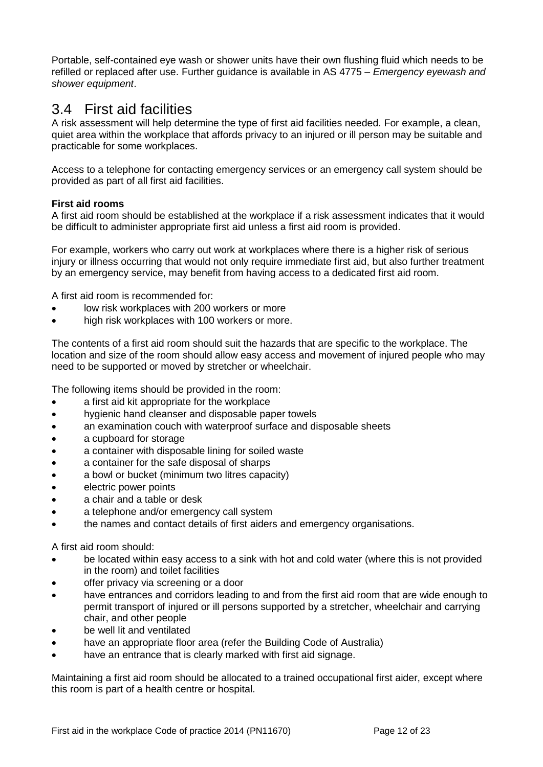Portable, self-contained eye wash or shower units have their own flushing fluid which needs to be refilled or replaced after use. Further guidance is available in AS 4775 – *Emergency eyewash and shower equipment*.

## <span id="page-11-0"></span>3.4 First aid facilities

A risk assessment will help determine the type of first aid facilities needed. For example, a clean, quiet area within the workplace that affords privacy to an injured or ill person may be suitable and practicable for some workplaces.

Access to a telephone for contacting emergency services or an emergency call system should be provided as part of all first aid facilities.

#### **First aid rooms**

A first aid room should be established at the workplace if a risk assessment indicates that it would be difficult to administer appropriate first aid unless a first aid room is provided.

For example, workers who carry out work at workplaces where there is a higher risk of serious injury or illness occurring that would not only require immediate first aid, but also further treatment by an emergency service, may benefit from having access to a dedicated first aid room.

A first aid room is recommended for:

- low risk workplaces with 200 workers or more
- high risk workplaces with 100 workers or more.

The contents of a first aid room should suit the hazards that are specific to the workplace. The location and size of the room should allow easy access and movement of injured people who may need to be supported or moved by stretcher or wheelchair.

The following items should be provided in the room:

- a first aid kit appropriate for the workplace
- hygienic hand cleanser and disposable paper towels
- an examination couch with waterproof surface and disposable sheets
- a cupboard for storage
- a container with disposable lining for soiled waste
- a container for the safe disposal of sharps
- a bowl or bucket (minimum two litres capacity)
- electric power points
- a chair and a table or desk
- a telephone and/or emergency call system
- the names and contact details of first aiders and emergency organisations.

A first aid room should:

- be located within easy access to a sink with hot and cold water (where this is not provided in the room) and toilet facilities
- offer privacy via screening or a door
- have entrances and corridors leading to and from the first aid room that are wide enough to permit transport of injured or ill persons supported by a stretcher, wheelchair and carrying chair, and other people
- be well lit and ventilated
- have an appropriate floor area (refer the Building Code of Australia)
- have an entrance that is clearly marked with first aid signage.

Maintaining a first aid room should be allocated to a trained occupational first aider, except where this room is part of a health centre or hospital.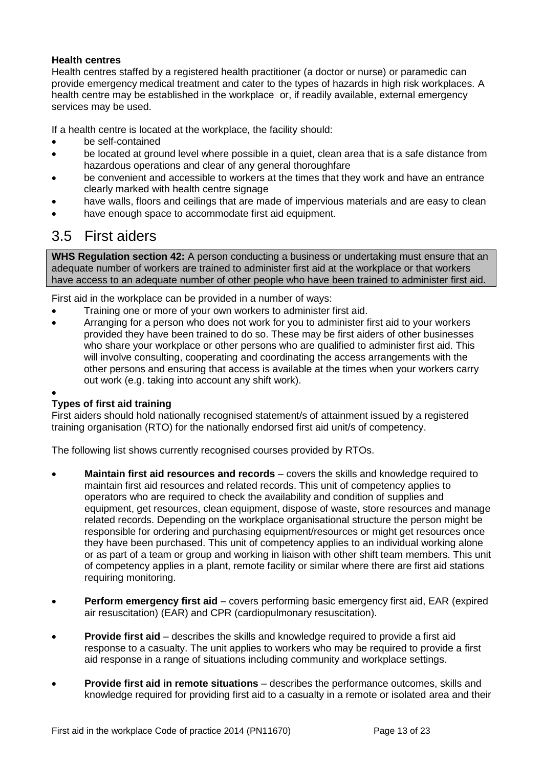#### **Health centres**

Health centres staffed by a registered health practitioner (a doctor or nurse) or paramedic can provide emergency medical treatment and cater to the types of hazards in high risk workplaces. A health centre may be established in the workplace or, if readily available, external emergency services may be used.

If a health centre is located at the workplace, the facility should:

- be self-contained
- be located at ground level where possible in a quiet, clean area that is a safe distance from hazardous operations and clear of any general thoroughfare
- be convenient and accessible to workers at the times that they work and have an entrance clearly marked with health centre signage
- have walls, floors and ceilings that are made of impervious materials and are easy to clean
- have enough space to accommodate first aid equipment.

## <span id="page-12-0"></span>3.5 First aiders

**WHS Regulation section 42:** A person conducting a business or undertaking must ensure that an adequate number of workers are trained to administer first aid at the workplace or that workers have access to an adequate number of other people who have been trained to administer first aid.

First aid in the workplace can be provided in a number of ways:

- Training one or more of your own workers to administer first aid.
- Arranging for a person who does not work for you to administer first aid to your workers provided they have been trained to do so. These may be first aiders of other businesses who share your workplace or other persons who are qualified to administer first aid. This will involve consulting, cooperating and coordinating the access arrangements with the other persons and ensuring that access is available at the times when your workers carry out work (e.g. taking into account any shift work).

#### $\bullet$ **Types of first aid training**

First aiders should hold nationally recognised statement/s of attainment issued by a registered training organisation (RTO) for the nationally endorsed first aid unit/s of competency.

The following list shows currently recognised courses provided by RTOs.

- **Maintain first aid resources and records**  covers the skills and knowledge required to maintain first aid resources and related records. This unit of competency applies to operators who are required to check the availability and condition of supplies and equipment, get resources, clean equipment, dispose of waste, store resources and manage related records. Depending on the workplace organisational structure the person might be responsible for ordering and purchasing equipment/resources or might get resources once they have been purchased. This unit of competency applies to an individual working alone or as part of a team or group and working in liaison with other shift team members. This unit of competency applies in a plant, remote facility or similar where there are first aid stations requiring monitoring.
- **Perform emergency first aid**  covers performing basic emergency first aid, EAR (expired air resuscitation) (EAR) and CPR (cardiopulmonary resuscitation).
- **Provide first aid**  describes the skills and knowledge required to provide a first aid response to a casualty. The unit applies to workers who may be required to provide a first aid response in a range of situations including community and workplace settings.
- **Provide first aid in remote situations**  describes the performance outcomes, skills and knowledge required for providing first aid to a casualty in a remote or isolated area and their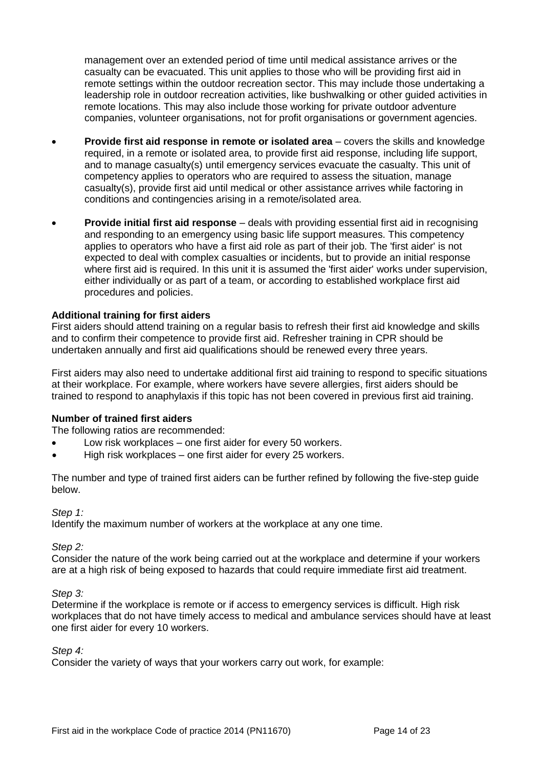management over an extended period of time until medical assistance arrives or the casualty can be evacuated. This unit applies to those who will be providing first aid in remote settings within the outdoor recreation sector. This may include those undertaking a leadership role in outdoor recreation activities, like bushwalking or other guided activities in remote locations. This may also include those working for private outdoor adventure companies, volunteer organisations, not for profit organisations or government agencies.

- **Provide first aid response in remote or isolated area** covers the skills and knowledge required, in a remote or isolated area, to provide first aid response, including life support, and to manage casualty(s) until emergency services evacuate the casualty. This unit of competency applies to operators who are required to assess the situation, manage casualty(s), provide first aid until medical or other assistance arrives while factoring in conditions and contingencies arising in a remote/isolated area.
- **Provide initial first aid response**  deals with providing essential first aid in recognising and responding to an emergency using basic life support measures. This competency applies to operators who have a first aid role as part of their job. The 'first aider' is not expected to deal with complex casualties or incidents, but to provide an initial response where first aid is required. In this unit it is assumed the 'first aider' works under supervision, either individually or as part of a team, or according to established workplace first aid procedures and policies.

#### **Additional training for first aiders**

First aiders should attend training on a regular basis to refresh their first aid knowledge and skills and to confirm their competence to provide first aid. Refresher training in CPR should be undertaken annually and first aid qualifications should be renewed every three years.

First aiders may also need to undertake additional first aid training to respond to specific situations at their workplace. For example, where workers have severe allergies, first aiders should be trained to respond to anaphylaxis if this topic has not been covered in previous first aid training.

#### **Number of trained first aiders**

The following ratios are recommended:

- Low risk workplaces one first aider for every 50 workers.
- High risk workplaces one first aider for every 25 workers.

The number and type of trained first aiders can be further refined by following the five-step guide below.

*Step 1:*

Identify the maximum number of workers at the workplace at any one time.

*Step 2:*

Consider the nature of the work being carried out at the workplace and determine if your workers are at a high risk of being exposed to hazards that could require immediate first aid treatment.

#### *Step 3:*

Determine if the workplace is remote or if access to emergency services is difficult. High risk workplaces that do not have timely access to medical and ambulance services should have at least one first aider for every 10 workers.

#### *Step 4:*

Consider the variety of ways that your workers carry out work, for example: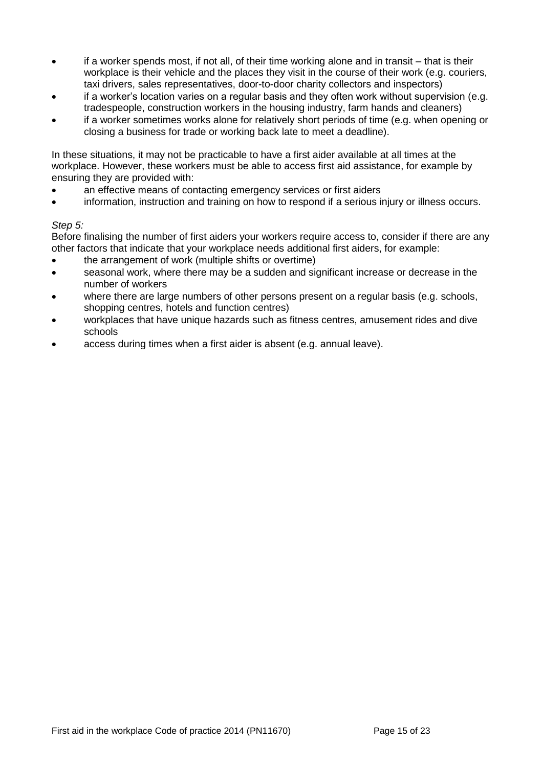- if a worker spends most, if not all, of their time working alone and in transit that is their workplace is their vehicle and the places they visit in the course of their work (e.g. couriers, taxi drivers, sales representatives, door-to-door charity collectors and inspectors)
- if a worker's location varies on a regular basis and they often work without supervision (e.g. tradespeople, construction workers in the housing industry, farm hands and cleaners)
- if a worker sometimes works alone for relatively short periods of time (e.g. when opening or closing a business for trade or working back late to meet a deadline).

In these situations, it may not be practicable to have a first aider available at all times at the workplace. However, these workers must be able to access first aid assistance, for example by ensuring they are provided with:

- an effective means of contacting emergency services or first aiders
- information, instruction and training on how to respond if a serious injury or illness occurs.

#### *Step 5:*

Before finalising the number of first aiders your workers require access to, consider if there are any other factors that indicate that your workplace needs additional first aiders, for example:

- the arrangement of work (multiple shifts or overtime)
- seasonal work, where there may be a sudden and significant increase or decrease in the number of workers
- where there are large numbers of other persons present on a regular basis (e.g. schools, shopping centres, hotels and function centres)
- workplaces that have unique hazards such as fitness centres, amusement rides and dive schools
- access during times when a first aider is absent (e.g. annual leave).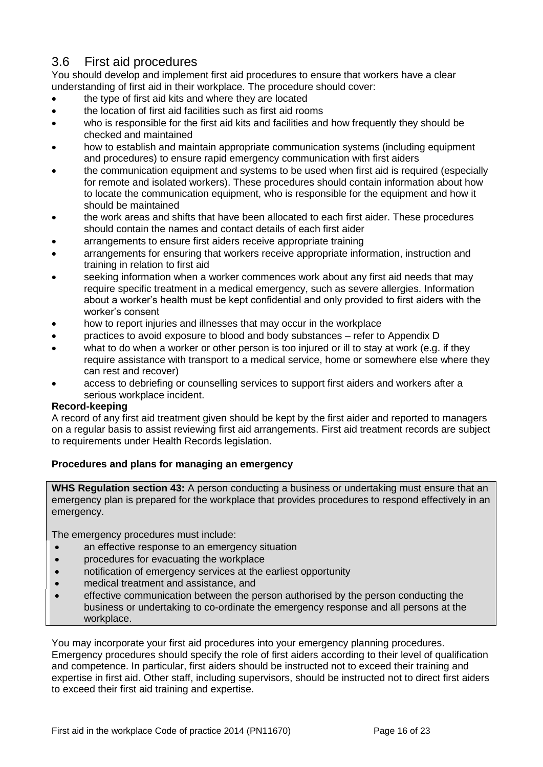## <span id="page-15-0"></span>3.6 First aid procedures

You should develop and implement first aid procedures to ensure that workers have a clear understanding of first aid in their workplace. The procedure should cover:

- the type of first aid kits and where they are located
- the location of first aid facilities such as first aid rooms
- who is responsible for the first aid kits and facilities and how frequently they should be checked and maintained
- how to establish and maintain appropriate communication systems (including equipment and procedures) to ensure rapid emergency communication with first aiders
- the communication equipment and systems to be used when first aid is required (especially for remote and isolated workers). These procedures should contain information about how to locate the communication equipment, who is responsible for the equipment and how it should be maintained
- the work areas and shifts that have been allocated to each first aider. These procedures should contain the names and contact details of each first aider
- arrangements to ensure first aiders receive appropriate training
- arrangements for ensuring that workers receive appropriate information, instruction and training in relation to first aid
- seeking information when a worker commences work about any first aid needs that may require specific treatment in a medical emergency, such as severe allergies. Information about a worker's health must be kept confidential and only provided to first aiders with the worker's consent
- how to report injuries and illnesses that may occur in the workplace
- practices to avoid exposure to blood and body substances refer to Appendix D
- what to do when a worker or other person is too injured or ill to stay at work (e.g. if they require assistance with transport to a medical service, home or somewhere else where they can rest and recover)
- access to debriefing or counselling services to support first aiders and workers after a serious workplace incident.

#### **Record-keeping**

A record of any first aid treatment given should be kept by the first aider and reported to managers on a regular basis to assist reviewing first aid arrangements. First aid treatment records are subject to requirements under Health Records legislation.

#### **Procedures and plans for managing an emergency**

**WHS Regulation section 43:** A person conducting a business or undertaking must ensure that an emergency plan is prepared for the workplace that provides procedures to respond effectively in an emergency.

The emergency procedures must include:

- an effective response to an emergency situation
- procedures for evacuating the workplace
- notification of emergency services at the earliest opportunity
- medical treatment and assistance, and
- effective communication between the person authorised by the person conducting the business or undertaking to co-ordinate the emergency response and all persons at the workplace.

You may incorporate your first aid procedures into your emergency planning procedures. Emergency procedures should specify the role of first aiders according to their level of qualification and competence. In particular, first aiders should be instructed not to exceed their training and expertise in first aid. Other staff, including supervisors, should be instructed not to direct first aiders to exceed their first aid training and expertise.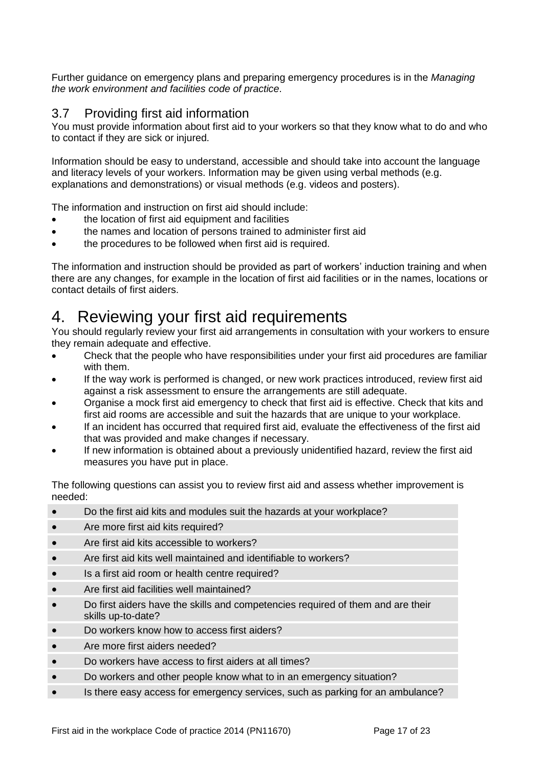Further guidance on emergency plans and preparing emergency procedures is in the *Managing the work environment and facilities code of practice*.

### <span id="page-16-0"></span>3.7 Providing first aid information

You must provide information about first aid to your workers so that they know what to do and who to contact if they are sick or injured.

Information should be easy to understand, accessible and should take into account the language and literacy levels of your workers. Information may be given using verbal methods (e.g. explanations and demonstrations) or visual methods (e.g. videos and posters).

The information and instruction on first aid should include:

- the location of first aid equipment and facilities
- the names and location of persons trained to administer first aid
- the procedures to be followed when first aid is required.

The information and instruction should be provided as part of workers' induction training and when there are any changes, for example in the location of first aid facilities or in the names, locations or contact details of first aiders.

## <span id="page-16-1"></span>4. Reviewing your first aid requirements

You should regularly review your first aid arrangements in consultation with your workers to ensure they remain adequate and effective.

- Check that the people who have responsibilities under your first aid procedures are familiar with them.
- If the way work is performed is changed, or new work practices introduced, review first aid against a risk assessment to ensure the arrangements are still adequate.
- Organise a mock first aid emergency to check that first aid is effective. Check that kits and first aid rooms are accessible and suit the hazards that are unique to your workplace.
- If an incident has occurred that required first aid, evaluate the effectiveness of the first aid that was provided and make changes if necessary.
- If new information is obtained about a previously unidentified hazard, review the first aid measures you have put in place.

The following questions can assist you to review first aid and assess whether improvement is needed:

- Do the first aid kits and modules suit the hazards at your workplace?
- Are more first aid kits required?
- Are first aid kits accessible to workers?
- Are first aid kits well maintained and identifiable to workers?
- Is a first aid room or health centre required?
- Are first aid facilities well maintained?
- Do first aiders have the skills and competencies required of them and are their skills up-to-date?
- Do workers know how to access first aiders?
- Are more first aiders needed?
- Do workers have access to first aiders at all times?
- Do workers and other people know what to in an emergency situation?
- Is there easy access for emergency services, such as parking for an ambulance?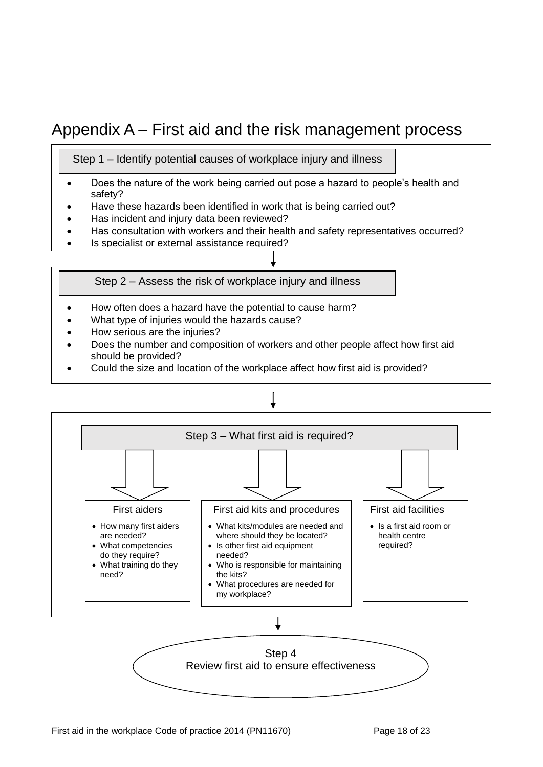## <span id="page-17-0"></span>Appendix A – First aid and the risk management process

Step 1 – Identify potential causes of workplace injury and illness

- Does the nature of the work being carried out pose a hazard to people's health and safety?
- Have these hazards been identified in work that is being carried out?
- Has incident and injury data been reviewed?
- Has consultation with workers and their health and safety representatives occurred?
- Is specialist or external assistance required?

Step 2 – Assess the risk of workplace injury and illness

- How often does a hazard have the potential to cause harm?
- What type of injuries would the hazards cause?
- How serious are the injuries?
- Does the number and composition of workers and other people affect how first aid should be provided?
- Could the size and location of the workplace affect how first aid is provided?



Review first aid to ensure effectiveness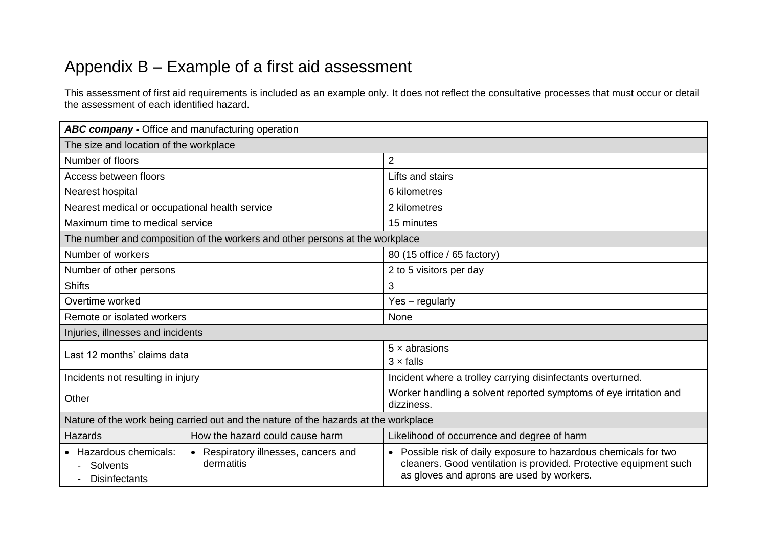## Appendix B – Example of a first aid assessment

This assessment of first aid requirements is included as an example only. It does not reflect the consultative processes that must occur or detail the assessment of each identified hazard.

<span id="page-18-0"></span>

| ABC company - Office and manufacturing operation                                    |                                                    |                                                                                                                                                                                    |  |  |
|-------------------------------------------------------------------------------------|----------------------------------------------------|------------------------------------------------------------------------------------------------------------------------------------------------------------------------------------|--|--|
| The size and location of the workplace                                              |                                                    |                                                                                                                                                                                    |  |  |
| Number of floors                                                                    |                                                    | $\overline{2}$                                                                                                                                                                     |  |  |
| Access between floors                                                               |                                                    | Lifts and stairs                                                                                                                                                                   |  |  |
| Nearest hospital                                                                    |                                                    | 6 kilometres                                                                                                                                                                       |  |  |
| Nearest medical or occupational health service                                      |                                                    | 2 kilometres                                                                                                                                                                       |  |  |
| Maximum time to medical service                                                     |                                                    | 15 minutes                                                                                                                                                                         |  |  |
| The number and composition of the workers and other persons at the workplace        |                                                    |                                                                                                                                                                                    |  |  |
| Number of workers                                                                   |                                                    | 80 (15 office / 65 factory)                                                                                                                                                        |  |  |
| Number of other persons                                                             |                                                    | 2 to 5 visitors per day                                                                                                                                                            |  |  |
| <b>Shifts</b>                                                                       |                                                    | 3                                                                                                                                                                                  |  |  |
| Overtime worked                                                                     |                                                    | Yes - regularly                                                                                                                                                                    |  |  |
| Remote or isolated workers                                                          |                                                    | None                                                                                                                                                                               |  |  |
| Injuries, illnesses and incidents                                                   |                                                    |                                                                                                                                                                                    |  |  |
| Last 12 months' claims data                                                         |                                                    | $5 \times$ abrasions<br>$3 \times$ falls                                                                                                                                           |  |  |
| Incidents not resulting in injury                                                   |                                                    | Incident where a trolley carrying disinfectants overturned.                                                                                                                        |  |  |
| Other                                                                               |                                                    | Worker handling a solvent reported symptoms of eye irritation and<br>dizziness.                                                                                                    |  |  |
| Nature of the work being carried out and the nature of the hazards at the workplace |                                                    |                                                                                                                                                                                    |  |  |
| <b>Hazards</b>                                                                      | How the hazard could cause harm                    | Likelihood of occurrence and degree of harm                                                                                                                                        |  |  |
| • Hazardous chemicals:<br>Solvents<br><b>Disinfectants</b>                          | • Respiratory illnesses, cancers and<br>dermatitis | • Possible risk of daily exposure to hazardous chemicals for two<br>cleaners. Good ventilation is provided. Protective equipment such<br>as gloves and aprons are used by workers. |  |  |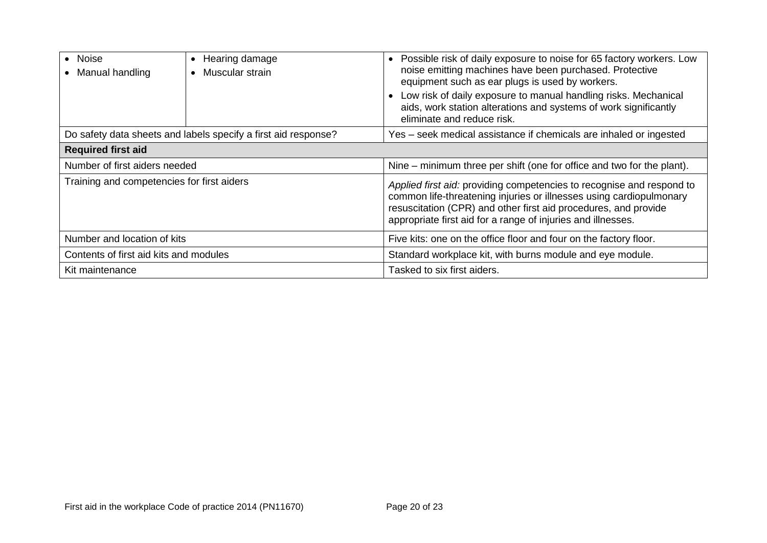| • Noise<br>Manual handling                                     | Hearing damage<br>$\bullet$<br>Muscular strain<br>$\bullet$ | • Possible risk of daily exposure to noise for 65 factory workers. Low<br>noise emitting machines have been purchased. Protective<br>equipment such as ear plugs is used by workers.<br>Low risk of daily exposure to manual handling risks. Mechanical<br>aids, work station alterations and systems of work significantly<br>eliminate and reduce risk. |  |  |  |
|----------------------------------------------------------------|-------------------------------------------------------------|-----------------------------------------------------------------------------------------------------------------------------------------------------------------------------------------------------------------------------------------------------------------------------------------------------------------------------------------------------------|--|--|--|
| Do safety data sheets and labels specify a first aid response? |                                                             | Yes – seek medical assistance if chemicals are inhaled or ingested                                                                                                                                                                                                                                                                                        |  |  |  |
| <b>Required first aid</b>                                      |                                                             |                                                                                                                                                                                                                                                                                                                                                           |  |  |  |
| Number of first aiders needed                                  |                                                             | Nine – minimum three per shift (one for office and two for the plant).                                                                                                                                                                                                                                                                                    |  |  |  |
| Training and competencies for first aiders                     |                                                             | Applied first aid: providing competencies to recognise and respond to<br>common life-threatening injuries or illnesses using cardiopulmonary<br>resuscitation (CPR) and other first aid procedures, and provide<br>appropriate first aid for a range of injuries and illnesses.                                                                           |  |  |  |
| Number and location of kits                                    |                                                             | Five kits: one on the office floor and four on the factory floor.                                                                                                                                                                                                                                                                                         |  |  |  |
| Contents of first aid kits and modules                         |                                                             | Standard workplace kit, with burns module and eye module.                                                                                                                                                                                                                                                                                                 |  |  |  |
| Kit maintenance                                                |                                                             | Tasked to six first aiders.                                                                                                                                                                                                                                                                                                                               |  |  |  |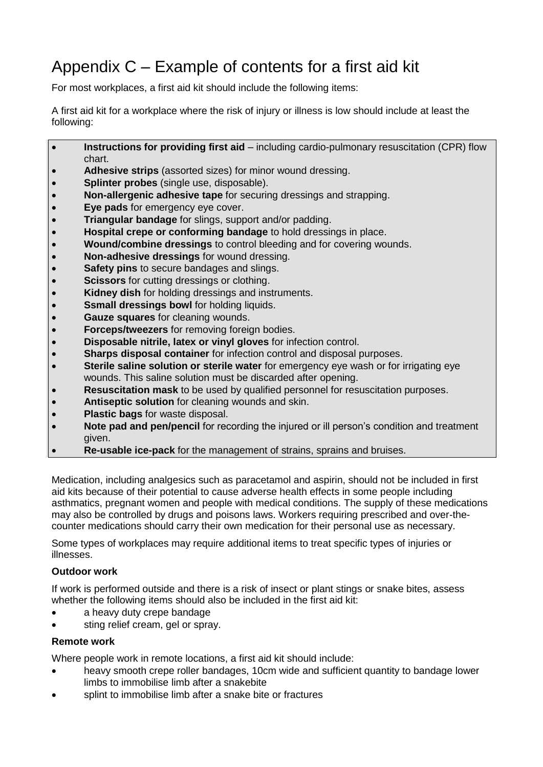## <span id="page-20-0"></span>Appendix C – Example of contents for a first aid kit

For most workplaces, a first aid kit should include the following items:

A first aid kit for a workplace where the risk of injury or illness is low should include at least the following:

- **Instructions for providing first aid** including cardio-pulmonary resuscitation (CPR) flow chart.
- **Adhesive strips** (assorted sizes) for minor wound dressing.
- **Splinter probes** (single use, disposable).
- **Non-allergenic adhesive tape** for securing dressings and strapping.
- **Eye pads** for emergency eye cover.
- **Triangular bandage** for slings, support and/or padding.
- **Hospital crepe or conforming bandage** to hold dressings in place.
- **Wound/combine dressings** to control bleeding and for covering wounds.
- **Non-adhesive dressings** for wound dressing.
- **Safety pins** to secure bandages and slings.
- **Scissors** for cutting dressings or clothing.
- **Kidney dish** for holding dressings and instruments.
- **SSMall dressings bowl** for holding liquids.
- **Gauze squares** for cleaning wounds.
- **Forceps/tweezers** for removing foreign bodies.
- **Disposable nitrile, latex or vinyl gloves** for infection control.
- **Sharps disposal container** for infection control and disposal purposes.
- **Sterile saline solution or sterile water** for emergency eye wash or for irrigating eye wounds. This saline solution must be discarded after opening.
- **Resuscitation mask** to be used by qualified personnel for resuscitation purposes.
- **Antiseptic solution** for cleaning wounds and skin.
- **Plastic bags** for waste disposal.
- **Note pad and pen/pencil** for recording the injured or ill person's condition and treatment given.
- **Re-usable ice-pack** for the management of strains, sprains and bruises.

Medication, including analgesics such as paracetamol and aspirin, should not be included in first aid kits because of their potential to cause adverse health effects in some people including asthmatics, pregnant women and people with medical conditions. The supply of these medications may also be controlled by drugs and poisons laws. Workers requiring prescribed and over-thecounter medications should carry their own medication for their personal use as necessary.

Some types of workplaces may require additional items to treat specific types of injuries or illnesses.

#### **Outdoor work**

If work is performed outside and there is a risk of insect or plant stings or snake bites, assess whether the following items should also be included in the first aid kit:

- a heavy duty crepe bandage
- sting relief cream, gel or spray.

#### **Remote work**

Where people work in remote locations, a first aid kit should include:

- heavy smooth crepe roller bandages, 10cm wide and sufficient quantity to bandage lower limbs to immobilise limb after a snakebite
- splint to immobilise limb after a snake bite or fractures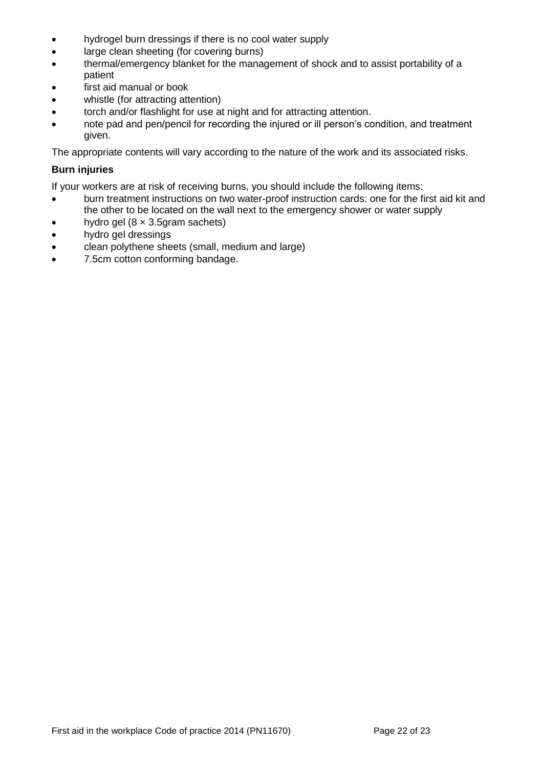- hydrogel burn dressings if there is no cool water supply
- large clean sheeting (for covering burns)
- thermal/emergency blanket for the management of shock and to assist portability of a patient
- first aid manual or book
- whistle (for attracting attention)
- torch and/or flashlight for use at night and for attracting attention.
- note pad and pen/pencil for recording the injured or ill person's condition, and treatment given.

The appropriate contents will vary according to the nature of the work and its associated risks.

#### **Burn injuries**

If your workers are at risk of receiving burns, you should include the following items:

- burn treatment instructions on two water-proof instruction cards: one for the first aid kit and the other to be located on the wall next to the emergency shower or water supply
- hydro gel  $(8 \times 3.5)$ gram sachets)
- hydro gel dressings
- clean polythene sheets (small, medium and large)
- 7.5cm cotton conforming bandage.